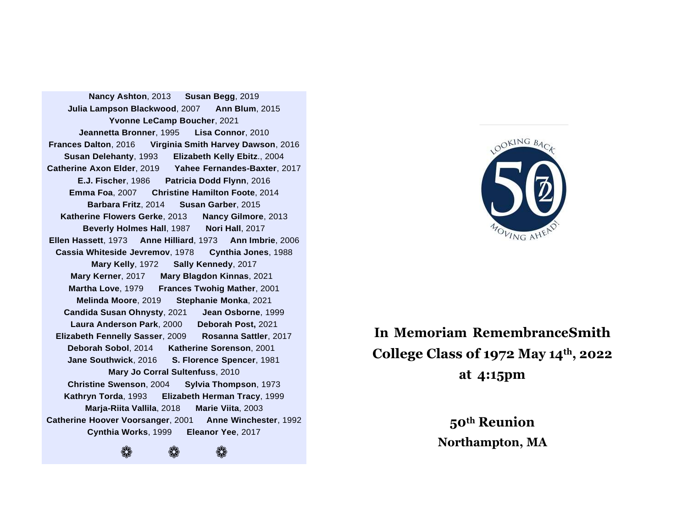**Nancy Ashton**, 2013 **Susan Begg**, 2019 **Julia Lampson Blackwood**, 2007 **Ann Blum**, 2015 **Yvonne LeCamp Boucher**, 2021 **Jeannetta Bronner**, 1995 **Lisa Connor**, 2010 **Frances Dalton**, 2016 **Virginia Smith Harvey Dawson**, 2016 **Susan Delehanty**, 1993 **Elizabeth Kelly Ebitz**., 2004 **Catherine Axon Elder**, 2019 **Yahee Fernandes-Baxter**, 2017 **E.J. Fischer**, 1986 **Patricia Dodd Flynn**, 2016 **Emma Foa**, 2007 **Christine Hamilton Foote**, 2014 **Barbara Fritz**, 2014 **Susan Garber**, 2015 **Katherine Flowers Gerke**, 2013 **Nancy Gilmore**, 2013 **Beverly Holmes Hall**, 1987 **Nori Hall**, 2017 **Ellen Hassett**, 1973 **Anne Hilliard**, 1973 **Ann Imbrie**, 2006 **Cassia Whiteside Jevremov**, 1978 **Cynthia Jones**, 1988 **Mary Kelly**, 1972 **Sally Kennedy**, 2017 **Mary Kerner**, 2017 **Mary Blagdon Kinnas**, 2021 **Martha Love**, 1979 **Frances Twohig Mather**, 2001 **Melinda Moore**, 2019 **Stephanie Monka**, 2021 **Candida Susan Ohnysty**, 2021 **Jean Osborne**, 1999 **Laura Anderson Park**, 2000 **Deborah Post,** 2021 **Elizabeth Fennelly Sasser**, 2009 **Rosanna Sattler**, 2017 **Deborah Sobol**, 2014 **Katherine Sorenson**, 2001 **Jane Southwick**, 2016 **S. Florence Spencer**, 1981 **Mary Jo Corral Sultenfuss**, 2010 **Christine Swenson**, 2004 **Sylvia Thompson**, 1973 **Kathryn Torda**, 1993 **Elizabeth Herman Tracy**, 1999 **Marja-Riita Vallila**, 2018 **Marie Viita**, 2003 **Catherine Hoover Voorsanger**, 2001 **Anne Winchester**, 1992 **Cynthia Works**, 1999 **Eleanor Yee**, 2017 ❁ ❁ ❁

**Gathering Toget**



# **In Memoriam RemembranceSmith College Class of 1972 May 14th , 2022 at 4:15pm**

**50th Reunion Northampton, MA**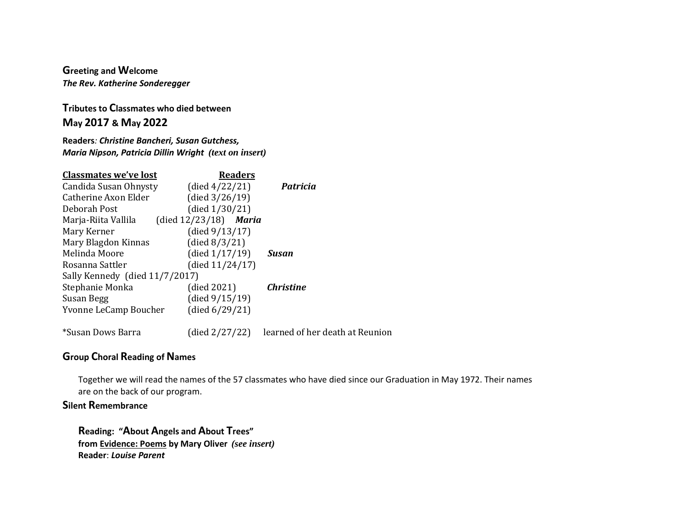**Greeting and Welcome** *The Rev. Katherine Sonderegger*

**Tributes to Classmates who died between May 2017 & May 2022**

**Readers***: Christine Bancheri, Susan Gutchess, Maria Nipson, Patricia Dillin Wright (text on insert)*

| <b>Classmates we've lost</b>   | <b>Readers</b>           |                                 |
|--------------------------------|--------------------------|---------------------------------|
| Candida Susan Ohnysty          | (died $4/22/21$ )        | <b>Patricia</b>                 |
| Catherine Axon Elder           | (died $3/26/19$ )        |                                 |
| Deborah Post                   | (died $1/30/21$ )        |                                 |
| Marja-Riita Vallila            | (died $12/23/18$ ) Maria |                                 |
| Mary Kerner                    | (died $9/13/17$ )        |                                 |
| Mary Blagdon Kinnas            | (died $8/3/21$ )         |                                 |
| Melinda Moore                  | (died $1/17/19$ )        | Susan                           |
| Rosanna Sattler                | (died $11/24/17$ )       |                                 |
| Sally Kennedy (died 11/7/2017) |                          |                                 |
| Stephanie Monka                | (died 2021)              | <b>Christine</b>                |
| Susan Begg                     | (died $9/15/19$ )        |                                 |
| Yvonne LeCamp Boucher          | (died $6/29/21$ )        |                                 |
| *Susan Dows Barra              | (died 2/27/22)           | learned of her death at Reunion |

### **Group Choral Reading of Names**

Together we will read the names of the 57 classmates who have died since our Graduation in May 1972. Their names are on the back of our program.

### **Silent Remembrance**

**Reading: "About Angels and About Trees" from Evidence: Poems by Mary Oliver** *(see insert)* **Reader**: *Louise Parent*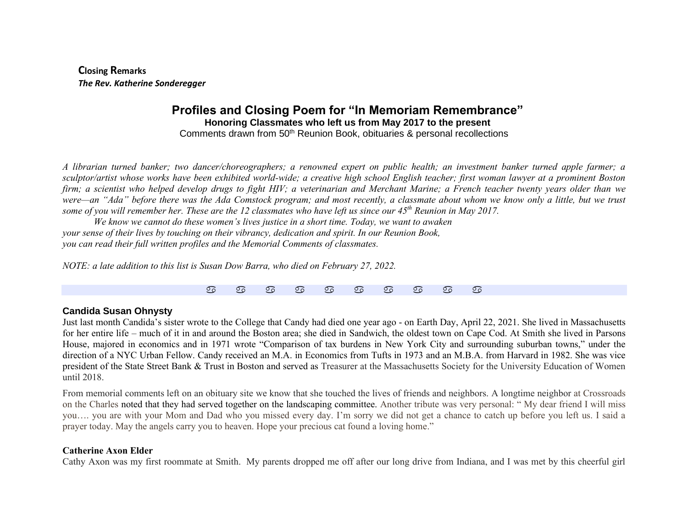**Closing Remarks** *The Rev. Katherine Sonderegger*

## **Profiles and Closing Poem for "In Memoriam Remembrance" Honoring Classmates who left us from May 2017 to the present**

Comments drawn from 50th Reunion Book, obituaries & personal recollections

*A librarian turned banker; two dancer/choreographers; a renowned expert on public health; an investment banker turned apple farmer; a sculptor/artist whose works have been exhibited world-wide; a creative high school English teacher; first woman lawyer at a prominent Boston firm; a scientist who helped develop drugs to fight HIV; a veterinarian and Merchant Marine; a French teacher twenty years older than we were—an "Ada" before there was the Ada Comstock program; and most recently, a classmate about whom we know only a little, but we trust some of you will remember her. These are the 12 classmates who have left us since our 45th Reunion in May 2017.*

*We know we cannot do these women's lives justice in a short time. Today, we want to awaken your sense of their lives by touching on their vibrancy, dedication and spirit. In our Reunion Book, you can read their full written profiles and the Memorial Comments of classmates.*

*NOTE: a late addition to this list is Susan Dow Barra, who died on February 27, 2022.*

#### **Candida Susan Ohnysty**

Just last month Candida's sister wrote to the College that Candy had died one year ago - on Earth Day, April 22, 2021. She lived in Massachusetts for her entire life – much of it in and around the Boston area; she died in Sandwich, the oldest town on Cape Cod. At Smith she lived in Parsons House, majored in economics and in 1971 wrote "Comparison of tax burdens in New York City and surrounding suburban towns," under the direction of a NYC Urban Fellow. Candy received an M.A. in Economics from Tufts in 1973 and an M.B.A. from Harvard in 1982. She was vice president of the State Street Bank & Trust in Boston and served as Treasurer at the Massachusetts Society for the University Education of Women until 2018.

From memorial comments left on an obituary site we know that she touched the lives of friends and neighbors. A longtime neighbor at Crossroads on the Charles noted that they had served together on the landscaping committee. Another tribute was very personal: " My dear friend I will miss you…. you are with your Mom and Dad who you missed every day. I'm sorry we did not get a chance to catch up before you left us. I said a prayer today. May the angels carry you to heaven. Hope your precious cat found a loving home."

#### **Catherine Axon Elder**

Cathy Axon was my first roommate at Smith. My parents dropped me off after our long drive from Indiana, and I was met by this cheerful girl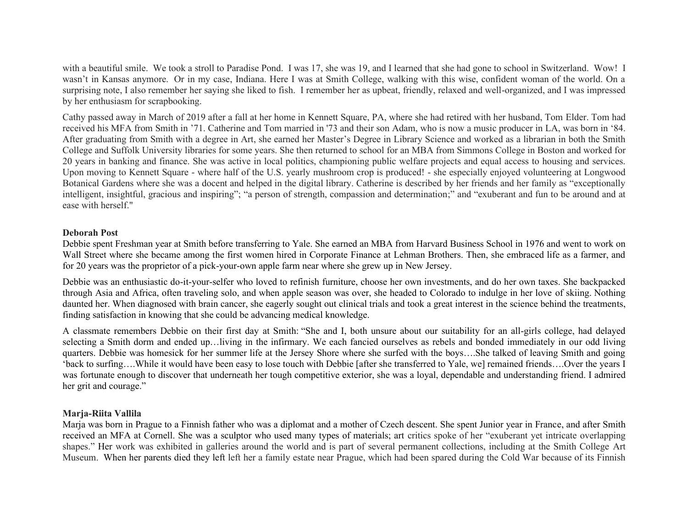with a beautiful smile. We took a stroll to Paradise Pond. I was 17, she was 19, and I learned that she had gone to school in Switzerland. Wow! I wasn't in Kansas anymore. Or in my case, Indiana. Here I was at Smith College, walking with this wise, confident woman of the world. On a surprising note, I also remember her saying she liked to fish. I remember her as upbeat, friendly, relaxed and well-organized, and I was impressed by her enthusiasm for scrapbooking.

Cathy passed away in March of 2019 after a fall at her home in Kennett Square, PA, where she had retired with her husband, Tom Elder. Tom had received his MFA from Smith in '71. Catherine and Tom married in '73 and their son Adam, who is now a music producer in LA, was born in '84. After graduating from Smith with a degree in Art, she earned her Master's Degree in Library Science and worked as a librarian in both the Smith College and Suffolk University libraries for some years. She then returned to school for an MBA from Simmons College in Boston and worked for 20 years in banking and finance. She was active in local politics, championing public welfare projects and equal access to housing and services. Upon moving to Kennett Square - where half of the U.S. yearly mushroom crop is produced! - she especially enjoyed volunteering at Longwood Botanical Gardens where she was a docent and helped in the digital library. Catherine is described by her friends and her family as "exceptionally intelligent, insightful, gracious and inspiring"; "a person of strength, compassion and determination;" and "exuberant and fun to be around and at ease with herself."

#### **Deborah Post**

Debbie spent Freshman year at Smith before transferring to Yale. She earned an MBA from Harvard Business School in 1976 and went to work on Wall Street where she became among the first women hired in Corporate Finance at Lehman Brothers. Then, she embraced life as a farmer, and for 20 years was the proprietor of a pick-your-own apple farm near where she grew up in New Jersey.

Debbie was an enthusiastic do-it-your-selfer who loved to refinish furniture, choose her own investments, and do her own taxes. She backpacked through Asia and Africa, often traveling solo, and when apple season was over, she headed to Colorado to indulge in her love of skiing. Nothing daunted her. When diagnosed with brain cancer, she eagerly sought out clinical trials and took a great interest in the science behind the treatments, finding satisfaction in knowing that she could be advancing medical knowledge.

A classmate remembers Debbie on their first day at Smith: "She and I, both unsure about our suitability for an all-girls college, had delayed selecting a Smith dorm and ended up…living in the infirmary. We each fancied ourselves as rebels and bonded immediately in our odd living quarters. Debbie was homesick for her summer life at the Jersey Shore where she surfed with the boys….She talked of leaving Smith and going 'back to surfing….While it would have been easy to lose touch with Debbie [after she transferred to Yale, we] remained friends….Over the years I was fortunate enough to discover that underneath her tough competitive exterior, she was a loyal, dependable and understanding friend. I admired her grit and courage."

#### **Marja-Riita Vallila**

Marja was born in Prague to a Finnish father who was a diplomat and a mother of Czech descent. She spent Junior year in France, and after Smith received an MFA at Cornell. She was a sculptor who used many types of materials; art critics spoke of her "exuberant yet intricate overlapping shapes." Her work was exhibited in galleries around the world and is part of several permanent collections, including at the Smith College Art Museum. When her parents died they left left her a family estate near Prague, which had been spared during the Cold War because of its Finnish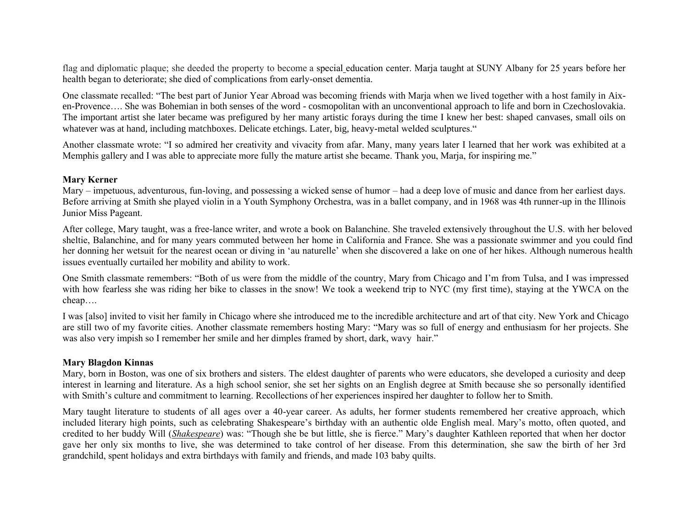flag and diplomatic plaque; she deeded the property to become a [special](https://en.wikipedia.org/wiki/Special_education) education center. Marja taught at SUNY Albany for 25 years before her health began to deteriorate; she died of complications from early-onset dementia.

One classmate recalled: "The best part of Junior Year Abroad was becoming friends with Marja when we lived together with a host family in Aixen-Provence…. She was Bohemian in both senses of the word - cosmopolitan with an unconventional approach to life and born in Czechoslovakia. The important artist she later became was prefigured by her many artistic forays during the time I knew her best: shaped canvases, small oils on whatever was at hand, including matchboxes. Delicate etchings. Later, big, heavy-metal welded sculptures."

Another classmate wrote: "I so admired her creativity and vivacity from afar. Many, many years later I learned that her work was exhibited at a Memphis gallery and I was able to appreciate more fully the mature artist she became. Thank you, Marja, for inspiring me."

#### **Mary Kerner**

Mary – impetuous, adventurous, fun-loving, and possessing a wicked sense of humor – had a deep love of music and dance from her earliest days. Before arriving at Smith she played violin in a Youth Symphony Orchestra, was in a ballet company, and in 1968 was 4th runner-up in the Illinois Junior Miss Pageant.

After college, Mary taught, was a free-lance writer, and wrote a book on Balanchine. She traveled extensively throughout the U.S. with her beloved sheltie, Balanchine, and for many years commuted between her home in California and France. She was a passionate swimmer and you could find her donning her wetsuit for the nearest ocean or diving in 'au naturelle' when she discovered a lake on one of her hikes. Although numerous health issues eventually curtailed her mobility and ability to work.

One Smith classmate remembers: "Both of us were from the middle of the country, Mary from Chicago and I'm from Tulsa, and I was impressed with how fearless she was riding her bike to classes in the snow! We took a weekend trip to NYC (my first time), staying at the YWCA on the cheap….

I was [also] invited to visit her family in Chicago where she introduced me to the incredible architecture and art of that city. New York and Chicago are still two of my favorite cities. Another classmate remembers hosting Mary: "Mary was so full of energy and enthusiasm for her projects. She was also very impish so I remember her smile and her dimples framed by short, dark, wavy hair."

#### **Mary Blagdon Kinnas**

Mary, born in Boston, was one of six brothers and sisters. The eldest daughter of parents who were educators, she developed a curiosity and deep interest in learning and literature. As a high school senior, she set her sights on an English degree at Smith because she so personally identified with Smith's culture and commitment to learning. Recollections of her experiences inspired her daughter to follow her to Smith.

Mary taught literature to students of all ages over a 40-year career. As adults, her former students remembered her creative approach, which included literary high points, such as celebrating Shakespeare's birthday with an authentic olde English meal. Mary's motto, often quoted, and credited to her buddy Will (*Shakespeare*) was: "Though she be but little, she is fierce." Mary's daughter Kathleen reported that when her doctor gave her only six months to live, she was determined to take control of her disease. From this determination, she saw the birth of her 3rd grandchild, spent holidays and extra birthdays with family and friends, and made 103 baby quilts.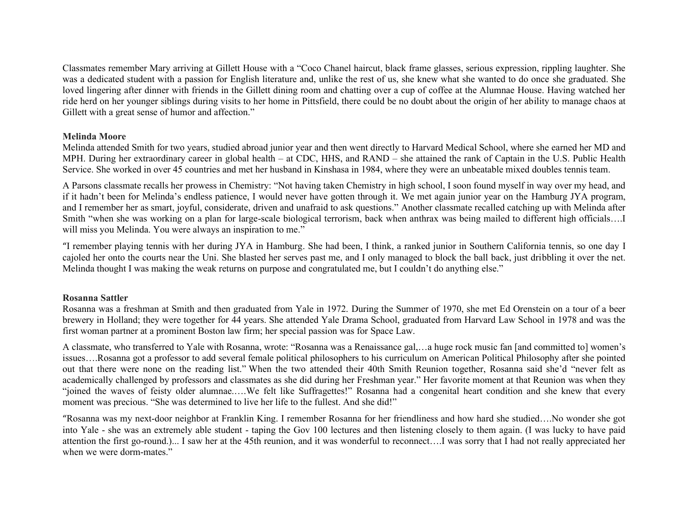Classmates remember Mary arriving at Gillett House with a "Coco Chanel haircut, black frame glasses, serious expression, rippling laughter. She was a dedicated student with a passion for English literature and, unlike the rest of us, she knew what she wanted to do once she graduated. She loved lingering after dinner with friends in the Gillett dining room and chatting over a cup of coffee at the Alumnae House. Having watched her ride herd on her younger siblings during visits to her home in Pittsfield, there could be no doubt about the origin of her ability to manage chaos at Gillett with a great sense of humor and affection."

#### **Melinda Moore**

Melinda attended Smith for two years, studied abroad junior year and then went directly to Harvard Medical School, where she earned her MD and MPH. During her extraordinary career in global health – at CDC, HHS, and RAND – she attained the rank of Captain in the U.S. Public Health Service. She worked in over 45 countries and met her husband in Kinshasa in 1984, where they were an unbeatable mixed doubles tennis team.

A Parsons classmate recalls her prowess in Chemistry: "Not having taken Chemistry in high school, I soon found myself in way over my head, and if it hadn't been for Melinda's endless patience, I would never have gotten through it. We met again junior year on the Hamburg JYA program, and I remember her as smart, joyful, considerate, driven and unafraid to ask questions." Another classmate recalled catching up with Melinda after Smith "when she was working on a plan for large-scale biological terrorism, back when anthrax was being mailed to different high officials….I will miss you Melinda. You were always an inspiration to me."

"I remember playing tennis with her during JYA in Hamburg. She had been, I think, a ranked junior in Southern California tennis, so one day I cajoled her onto the courts near the Uni. She blasted her serves past me, and I only managed to block the ball back, just dribbling it over the net. Melinda thought I was making the weak returns on purpose and congratulated me, but I couldn't do anything else."

#### **Rosanna Sattler**

Rosanna was a freshman at Smith and then graduated from Yale in 1972. During the Summer of 1970, she met Ed Orenstein on a tour of a beer brewery in Holland; they were together for 44 years. She attended Yale Drama School, graduated from Harvard Law School in 1978 and was the first woman partner at a prominent Boston law firm; her special passion was for Space Law.

A classmate, who transferred to Yale with Rosanna, wrote: "Rosanna was a Renaissance gal,…a huge rock music fan [and committed to] women's issues….Rosanna got a professor to add several female political philosophers to his curriculum on American Political Philosophy after she pointed out that there were none on the reading list." When the two attended their 40th Smith Reunion together, Rosanna said she'd "never felt as academically challenged by professors and classmates as she did during her Freshman year." Her favorite moment at that Reunion was when they "joined the waves of feisty older alumnae.….We felt like Suffragettes!" Rosanna had a congenital heart condition and she knew that every moment was precious. "She was determined to live her life to the fullest. And she did!"

"Rosanna was my next-door neighbor at Franklin King. I remember Rosanna for her friendliness and how hard she studied….No wonder she got into Yale - she was an extremely able student - taping the Gov 100 lectures and then listening closely to them again. (I was lucky to have paid attention the first go-round.)... I saw her at the 45th reunion, and it was wonderful to reconnect….I was sorry that I had not really appreciated her when we were dorm-mates."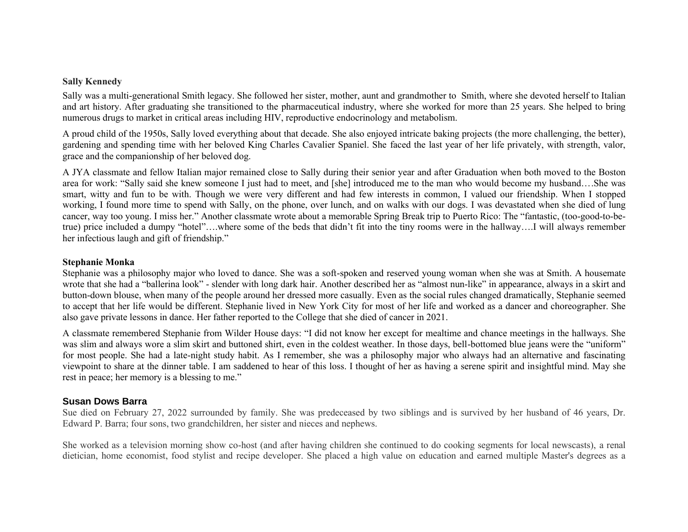#### **Sally Kennedy**

Sally was a multi-generational Smith legacy. She followed her sister, mother, aunt and grandmother to Smith, where she devoted herself to Italian and art history. After graduating she transitioned to the pharmaceutical industry, where she worked for more than 25 years. She helped to bring numerous drugs to market in critical areas including HIV, reproductive endocrinology and metabolism.

A proud child of the 1950s, Sally loved everything about that decade. She also enjoyed intricate baking projects (the more challenging, the better), gardening and spending time with her beloved King Charles Cavalier Spaniel. She faced the last year of her life privately, with strength, valor, grace and the companionship of her beloved dog.

A JYA classmate and fellow Italian major remained close to Sally during their senior year and after Graduation when both moved to the Boston area for work: "Sally said she knew someone I just had to meet, and [she] introduced me to the man who would become my husband….She was smart, witty and fun to be with. Though we were very different and had few interests in common, I valued our friendship. When I stopped working, I found more time to spend with Sally, on the phone, over lunch, and on walks with our dogs. I was devastated when she died of lung cancer, way too young. I miss her." Another classmate wrote about a memorable Spring Break trip to Puerto Rico: The "fantastic, (too-good-to-betrue) price included a dumpy "hotel"….where some of the beds that didn't fit into the tiny rooms were in the hallway….I will always remember her infectious laugh and gift of friendship."

#### **Stephanie Monka**

Stephanie was a philosophy major who loved to dance. She was a soft-spoken and reserved young woman when she was at Smith. A housemate wrote that she had a "ballerina look" - slender with long dark hair. Another described her as "almost nun-like" in appearance, always in a skirt and button-down blouse, when many of the people around her dressed more casually. Even as the social rules changed dramatically, Stephanie seemed to accept that her life would be different. Stephanie lived in New York City for most of her life and worked as a dancer and choreographer. She also gave private lessons in dance. Her father reported to the College that she died of cancer in 2021.

A classmate remembered Stephanie from Wilder House days: "I did not know her except for mealtime and chance meetings in the hallways. She was slim and always wore a slim skirt and buttoned shirt, even in the coldest weather. In those days, bell-bottomed blue jeans were the "uniform" for most people. She had a late-night study habit. As I remember, she was a philosophy major who always had an alternative and fascinating viewpoint to share at the dinner table. I am saddened to hear of this loss. I thought of her as having a serene spirit and insightful mind. May she rest in peace; her memory is a blessing to me."

#### **Susan Dows Barra**

Sue died on February 27, 2022 surrounded by family. She was predeceased by two siblings and is survived by her husband of 46 years, Dr. Edward P. Barra; four sons, two grandchildren, her sister and nieces and nephews.

She worked as a television morning show co-host (and after having children she continued to do cooking segments for local newscasts), a renal dietician, home economist, food stylist and recipe developer. She placed a high value on education and earned multiple Master's degrees as a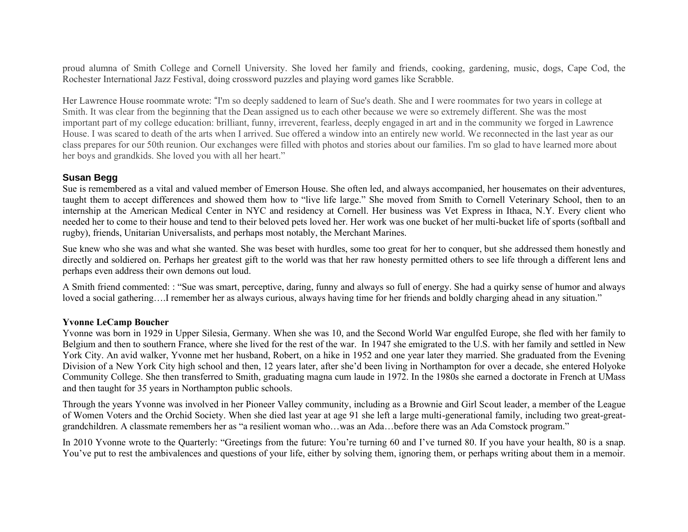proud alumna of Smith College and Cornell University. She loved her family and friends, cooking, gardening, music, dogs, Cape Cod, the Rochester International Jazz Festival, doing crossword puzzles and playing word games like Scrabble.

Her Lawrence House roommate wrote: "I'm so deeply saddened to learn of Sue's death. She and I were roommates for two years in college at Smith. It was clear from the beginning that the Dean assigned us to each other because we were so extremely different. She was the most important part of my college education: brilliant, funny, irreverent, fearless, deeply engaged in art and in the community we forged in Lawrence House. I was scared to death of the arts when I arrived. Sue offered a window into an entirely new world. We reconnected in the last year as our class prepares for our 50th reunion. Our exchanges were filled with photos and stories about our families. I'm so glad to have learned more about her boys and grandkids. She loved you with all her heart."

#### **Susan Begg**

Sue is remembered as a vital and valued member of Emerson House. She often led, and always accompanied, her housemates on their adventures, taught them to accept differences and showed them how to "live life large." She moved from Smith to Cornell Veterinary School, then to an internship at the American Medical Center in NYC and residency at Cornell. Her business was Vet Express in Ithaca, N.Y. Every client who needed her to come to their house and tend to their beloved pets loved her. Her work was one bucket of her multi-bucket life of sports (softball and rugby), friends, Unitarian Universalists, and perhaps most notably, the Merchant Marines.

Sue knew who she was and what she wanted. She was beset with hurdles, some too great for her to conquer, but she addressed them honestly and directly and soldiered on. Perhaps her greatest gift to the world was that her raw honesty permitted others to see life through a different lens and perhaps even address their own demons out loud.

A Smith friend commented: : "Sue was smart, perceptive, daring, funny and always so full of energy. She had a quirky sense of humor and always loved a social gathering….I remember her as always curious, always having time for her friends and boldly charging ahead in any situation."

#### **Yvonne LeCamp Boucher**

Yvonne was born in 1929 in Upper Silesia, Germany. When she was 10, and the Second World War engulfed Europe, she fled with her family to Belgium and then to southern France, where she lived for the rest of the war. In 1947 she emigrated to the U.S. with her family and settled in New York City. An avid walker, Yvonne met her husband, Robert, on a hike in 1952 and one year later they married. She graduated from the Evening Division of a New York City high school and then, 12 years later, after she'd been living in Northampton for over a decade, she entered Holyoke Community College. She then transferred to Smith, graduating magna cum laude in 1972. In the 1980s she earned a doctorate in French at UMass and then taught for 35 years in Northampton public schools.

Through the years Yvonne was involved in her Pioneer Valley community, including as a Brownie and Girl Scout leader, a member of the League of Women Voters and the Orchid Society. When she died last year at age 91 she left a large multi-generational family, including two great-greatgrandchildren. A classmate remembers her as "a resilient woman who…was an Ada…before there was an Ada Comstock program."

In 2010 Yvonne wrote to the Quarterly: "Greetings from the future: You're turning 60 and I've turned 80. If you have your health, 80 is a snap. You've put to rest the ambivalences and questions of your life, either by solving them, ignoring them, or perhaps writing about them in a memoir.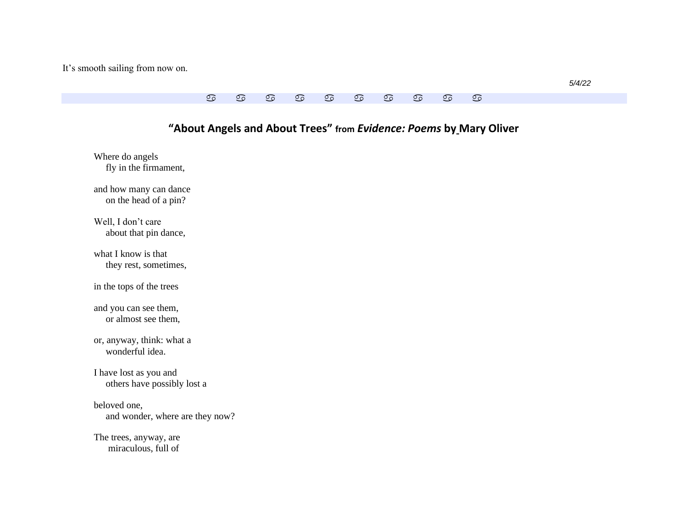It's smooth sailing from now on.

# **"About Angels and About Trees" from** *Evidence: Poems* **by Mary Oliver** Where do angels fly in the firmament, and how many can dance on the head of a pin? Well, I don't care about that pin dance, what I know is that they rest, sometimes, in the tops of the trees

and you can see them, or almost see them,

or, anyway, think: what a wonderful idea.

I have lost as you and others have possibly lost a

beloved one, and wonder, where are they now?

The trees, anyway, are miraculous, full of